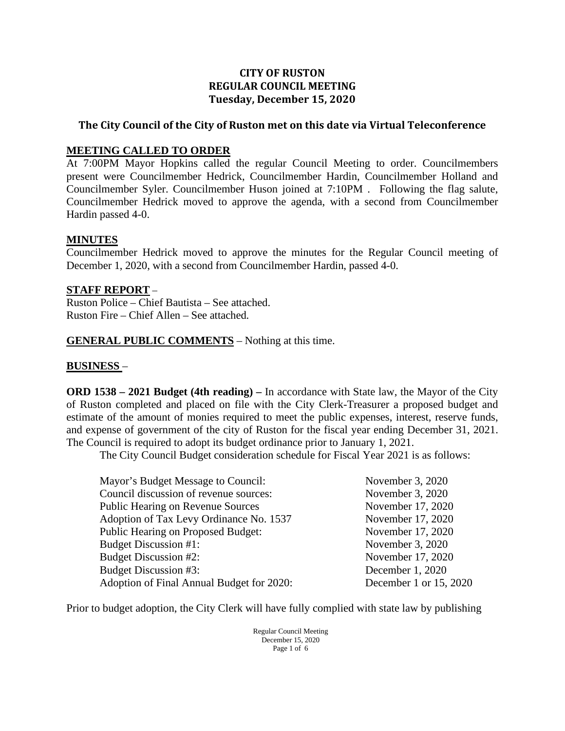### **CITY OF RUSTON REGULAR COUNCIL MEETING Tuesday, December 15, 2020**

## **The City Council of the City of Ruston met on this date via Virtual Teleconference**

#### **MEETING CALLED TO ORDER**

At 7:00PM Mayor Hopkins called the regular Council Meeting to order. Councilmembers present were Councilmember Hedrick, Councilmember Hardin, Councilmember Holland and Councilmember Syler. Councilmember Huson joined at 7:10PM . Following the flag salute, Councilmember Hedrick moved to approve the agenda, with a second from Councilmember Hardin passed 4-0.

#### **MINUTES**

Councilmember Hedrick moved to approve the minutes for the Regular Council meeting of December 1, 2020, with a second from Councilmember Hardin, passed 4-0.

#### **STAFF REPORT** –

Ruston Police – Chief Bautista – See attached. Ruston Fire – Chief Allen – See attached.

### **GENERAL PUBLIC COMMENTS** – Nothing at this time.

## **BUSINESS** –

**ORD 1538 – 2021 Budget (4th reading) –** In accordance with State law, the Mayor of the City of Ruston completed and placed on file with the City Clerk-Treasurer a proposed budget and estimate of the amount of monies required to meet the public expenses, interest, reserve funds, and expense of government of the city of Ruston for the fiscal year ending December 31, 2021. The Council is required to adopt its budget ordinance prior to January 1, 2021.

The City Council Budget consideration schedule for Fiscal Year 2021 is as follows:

| November 3, 2020       |
|------------------------|
| November 3, 2020       |
| November 17, 2020      |
| November 17, 2020      |
| November 17, 2020      |
| November 3, 2020       |
| November 17, 2020      |
| December 1, 2020       |
| December 1 or 15, 2020 |
|                        |

Prior to budget adoption, the City Clerk will have fully complied with state law by publishing

Regular Council Meeting December 15, 2020 Page 1 of 6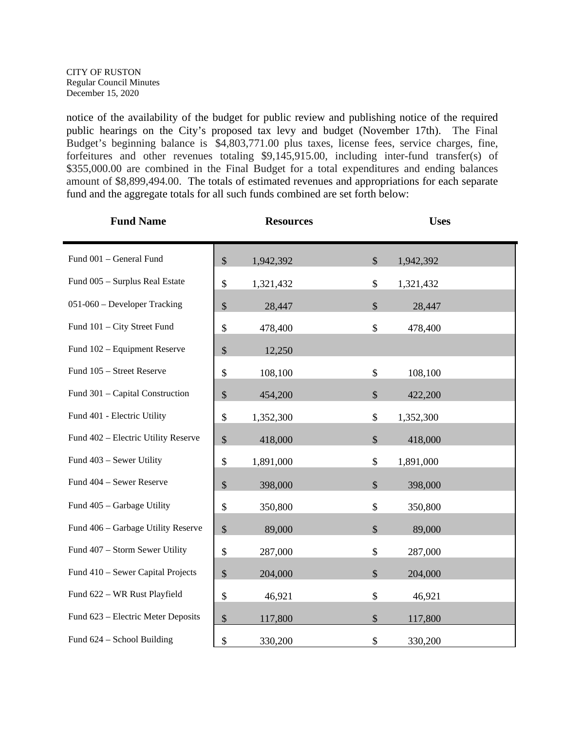notice of the availability of the budget for public review and publishing notice of the required public hearings on the City's proposed tax levy and budget (November 17th). The Final Budget's beginning balance is \$4,803,771.00 plus taxes, license fees, service charges, fine, forfeitures and other revenues totaling \$9,145,915.00, including inter-fund transfer(s) of \$355,000.00 are combined in the Final Budget for a total expenditures and ending balances amount of \$8,899,494.00. The totals of estimated revenues and appropriations for each separate fund and the aggregate totals for all such funds combined are set forth below:

| <b>Fund Name</b>                    | <b>Resources</b>                     | <b>Uses</b>              |
|-------------------------------------|--------------------------------------|--------------------------|
| Fund 001 - General Fund             | \$<br>1,942,392                      | \$<br>1,942,392          |
| Fund 005 - Surplus Real Estate      | \$<br>1,321,432                      | \$<br>1,321,432          |
| 051-060 - Developer Tracking        | $\boldsymbol{\mathsf{S}}$<br>28,447  | \$<br>28,447             |
| Fund 101 - City Street Fund         | \$<br>478,400                        | \$<br>478,400            |
| Fund 102 – Equipment Reserve        | $\mathcal{S}$<br>12,250              |                          |
| Fund 105 - Street Reserve           | \$<br>108,100                        | \$<br>108,100            |
| Fund 301 - Capital Construction     | $\mathcal{S}$<br>454,200             | $\mathcal{S}$<br>422,200 |
| Fund 401 - Electric Utility         | \$<br>1,352,300                      | \$<br>1,352,300          |
| Fund 402 - Electric Utility Reserve | $\boldsymbol{\mathsf{S}}$<br>418,000 | \$<br>418,000            |
| Fund 403 - Sewer Utility            | \$<br>1,891,000                      | \$<br>1,891,000          |
| Fund 404 - Sewer Reserve            | $\boldsymbol{\mathsf{S}}$<br>398,000 | \$<br>398,000            |
| Fund 405 - Garbage Utility          | \$<br>350,800                        | \$<br>350,800            |
| Fund 406 - Garbage Utility Reserve  | $\mathcal{S}$<br>89,000              | $\mathbb{S}$<br>89,000   |
| Fund 407 - Storm Sewer Utility      | \$<br>287,000                        | \$<br>287,000            |
| Fund 410 - Sewer Capital Projects   | \$<br>204,000                        | \$<br>204,000            |
| Fund 622 - WR Rust Playfield        | \$<br>46,921                         | \$<br>46,921             |
| Fund 623 - Electric Meter Deposits  | $\boldsymbol{\mathsf{S}}$<br>117,800 | \$<br>117,800            |
| Fund 624 - School Building          | \$<br>330,200                        | \$<br>330,200            |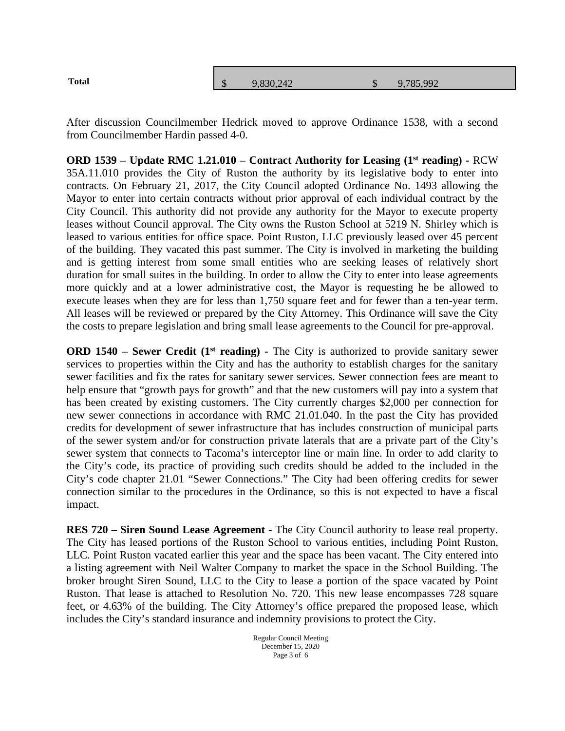| <b>Total</b> | $\sqrt{2}$<br>ъĐ. | 9,830,242 | $\triangle$<br>$\cup$ | 9,785,992 |
|--------------|-------------------|-----------|-----------------------|-----------|
|              |                   |           |                       |           |

After discussion Councilmember Hedrick moved to approve Ordinance 1538, with a second from Councilmember Hardin passed 4-0.

**ORD 1539 – Update RMC 1.21.010 – Contract Authority for Leasing (1st reading) -** RCW 35A.11.010 provides the City of Ruston the authority by its legislative body to enter into contracts. On February 21, 2017, the City Council adopted Ordinance No. 1493 allowing the Mayor to enter into certain contracts without prior approval of each individual contract by the City Council. This authority did not provide any authority for the Mayor to execute property leases without Council approval. The City owns the Ruston School at 5219 N. Shirley which is leased to various entities for office space. Point Ruston, LLC previously leased over 45 percent of the building. They vacated this past summer. The City is involved in marketing the building and is getting interest from some small entities who are seeking leases of relatively short duration for small suites in the building. In order to allow the City to enter into lease agreements more quickly and at a lower administrative cost, the Mayor is requesting he be allowed to execute leases when they are for less than 1,750 square feet and for fewer than a ten-year term. All leases will be reviewed or prepared by the City Attorney. This Ordinance will save the City the costs to prepare legislation and bring small lease agreements to the Council for pre-approval.

**ORD 1540 – Sewer Credit (1<sup>st</sup> reading) -** The City is authorized to provide sanitary sewer services to properties within the City and has the authority to establish charges for the sanitary sewer facilities and fix the rates for sanitary sewer services. Sewer connection fees are meant to help ensure that "growth pays for growth" and that the new customers will pay into a system that has been created by existing customers. The City currently charges \$2,000 per connection for new sewer connections in accordance with RMC 21.01.040. In the past the City has provided credits for development of sewer infrastructure that has includes construction of municipal parts of the sewer system and/or for construction private laterals that are a private part of the City's sewer system that connects to Tacoma's interceptor line or main line. In order to add clarity to the City's code, its practice of providing such credits should be added to the included in the City's code chapter 21.01 "Sewer Connections." The City had been offering credits for sewer connection similar to the procedures in the Ordinance, so this is not expected to have a fiscal impact.

**RES 720 – Siren Sound Lease Agreement -** The City Council authority to lease real property. The City has leased portions of the Ruston School to various entities, including Point Ruston, LLC. Point Ruston vacated earlier this year and the space has been vacant. The City entered into a listing agreement with Neil Walter Company to market the space in the School Building. The broker brought Siren Sound, LLC to the City to lease a portion of the space vacated by Point Ruston. That lease is attached to Resolution No. 720. This new lease encompasses 728 square feet, or 4.63% of the building. The City Attorney's office prepared the proposed lease, which includes the City's standard insurance and indemnity provisions to protect the City.

> Regular Council Meeting December 15, 2020 Page 3 of 6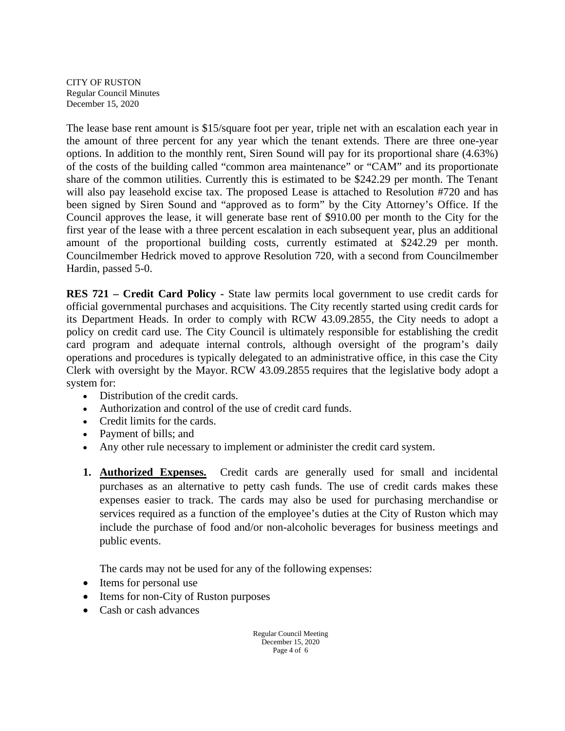The lease base rent amount is \$15/square foot per year, triple net with an escalation each year in the amount of three percent for any year which the tenant extends. There are three one-year options. In addition to the monthly rent, Siren Sound will pay for its proportional share (4.63%) of the costs of the building called "common area maintenance" or "CAM" and its proportionate share of the common utilities. Currently this is estimated to be \$242.29 per month. The Tenant will also pay leasehold excise tax. The proposed Lease is attached to Resolution #720 and has been signed by Siren Sound and "approved as to form" by the City Attorney's Office. If the Council approves the lease, it will generate base rent of \$910.00 per month to the City for the first year of the lease with a three percent escalation in each subsequent year, plus an additional amount of the proportional building costs, currently estimated at \$242.29 per month. Councilmember Hedrick moved to approve Resolution 720, with a second from Councilmember Hardin, passed 5-0.

**RES 721 – Credit Card Policy -** State law permits local government to use credit cards for official governmental purchases and acquisitions. The City recently started using credit cards for its Department Heads. In order to comply with RCW 43.09.2855, the City needs to adopt a policy on credit card use. The City Council is ultimately responsible for establishing the credit card program and adequate internal controls, although oversight of the program's daily operations and procedures is typically delegated to an administrative office, in this case the City Clerk with oversight by the Mayor. [RCW 43.09.2855](http://app.leg.wa.gov/rcw/default.aspx?cite=43.09.2855) requires that the legislative body adopt a system for:

- Distribution of the credit cards.
- Authorization and control of the use of credit card funds.
- Credit limits for the cards.
- Payment of bills; and
- Any other rule necessary to implement or administer the credit card system.
- **1. Authorized Expenses.** Credit cards are generally used for small and incidental purchases as an alternative to petty cash funds. The use of credit cards makes these expenses easier to track. The cards may also be used for purchasing merchandise or services required as a function of the employee's duties at the City of Ruston which may include the purchase of food and/or non-alcoholic beverages for business meetings and public events.

The cards may not be used for any of the following expenses:

- Items for personal use
- Items for non-City of Ruston purposes
- Cash or cash advances

Regular Council Meeting December 15, 2020 Page 4 of 6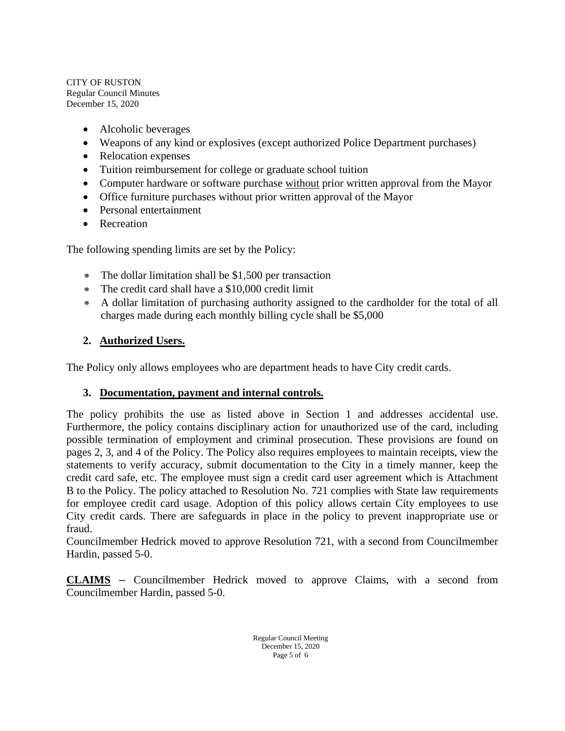- Alcoholic beverages
- Weapons of any kind or explosives (except authorized Police Department purchases)
- Relocation expenses
- Tuition reimbursement for college or graduate school tuition
- Computer hardware or software purchase without prior written approval from the Mayor
- Office furniture purchases without prior written approval of the Mayor
- Personal entertainment
- Recreation

The following spending limits are set by the Policy:

- The dollar limitation shall be \$1,500 per transaction
- The credit card shall have a \$10,000 credit limit
- A dollar limitation of purchasing authority assigned to the cardholder for the total of all charges made during each monthly billing cycle shall be \$5,000

# **2. Authorized Users.**

The Policy only allows employees who are department heads to have City credit cards.

## **3. Documentation, payment and internal controls.**

The policy prohibits the use as listed above in Section 1 and addresses accidental use. Furthermore, the policy contains disciplinary action for unauthorized use of the card, including possible termination of employment and criminal prosecution. These provisions are found on pages 2, 3, and 4 of the Policy. The Policy also requires employees to maintain receipts, view the statements to verify accuracy, submit documentation to the City in a timely manner, keep the credit card safe, etc. The employee must sign a credit card user agreement which is Attachment B to the Policy. The policy attached to Resolution No. 721 complies with State law requirements for employee credit card usage. Adoption of this policy allows certain City employees to use City credit cards. There are safeguards in place in the policy to prevent inappropriate use or fraud.

Councilmember Hedrick moved to approve Resolution 721, with a second from Councilmember Hardin, passed 5-0.

**CLAIMS** – Councilmember Hedrick moved to approve Claims, with a second from Councilmember Hardin, passed 5-0.

> Regular Council Meeting December 15, 2020 Page 5 of 6